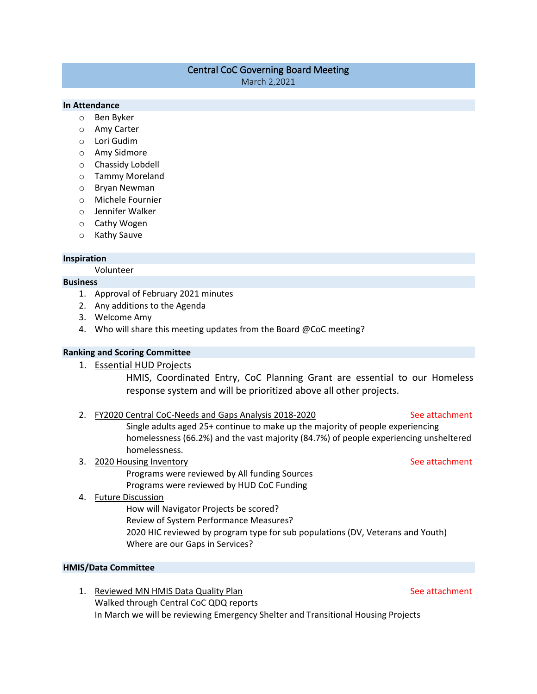# Central CoC Governing Board Meeting

March 2,2021

# **In Attendance**

- o Ben Byker
- o Amy Carter
- o Lori Gudim
- o Amy Sidmore
- o Chassidy Lobdell
- o Tammy Moreland
- o Bryan Newman
- o Michele Fournier
- o Jennifer Walker
- o Cathy Wogen
- o Kathy Sauve

### **Inspiration**

Volunteer

### **Business**

- 1. Approval of February 2021 minutes
- 2. Any additions to the Agenda
- 3. Welcome Amy
- 4. Who will share this meeting updates from the Board @CoC meeting?

# **Ranking and Scoring Committee**

1. Essential HUD Projects

HMIS, Coordinated Entry, CoC Planning Grant are essential to our Homeless response system and will be prioritized above all other projects.

2. FY2020 Central CoC-Needs and Gaps Analysis 2018-2020 See attachment

Single adults aged 25+ continue to make up the majority of people experiencing homelessness (66.2%) and the vast majority (84.7%) of people experiencing unsheltered homelessness.

3. 2020 Housing Inventory See attachment Programs were reviewed by All funding Sources Programs were reviewed by HUD CoC Funding

### 4. Future Discussion

How will Navigator Projects be scored?

Review of System Performance Measures?

2020 HIC reviewed by program type for sub populations (DV, Veterans and Youth) Where are our Gaps in Services?

### **HMIS/Data Committee**

1. Reviewed MN HMIS Data Quality Plan See attachment Walked through Central CoC QDQ reports In March we will be reviewing Emergency Shelter and Transitional Housing Projects